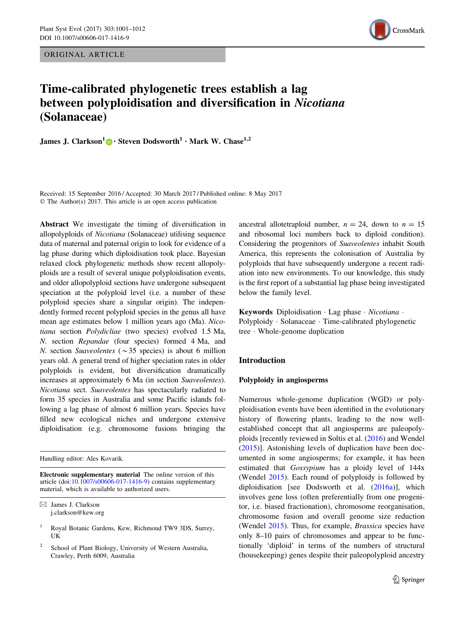ORIGINAL ARTICLE



# Time-calibrated phylogenetic trees establish a lag between polyploidisation and diversification in Nicotiana (Solanaceae)

**James J. Clarkson**<sup>1</sup> • Steven Dodsworth<sup>1</sup> • Mark W. Chase<sup>1,2</sup>

Received: 15 September 2016 / Accepted: 30 March 2017 / Published online: 8 May 2017 © The Author(s) 2017. This article is an open access publication

Abstract We investigate the timing of diversification in allopolyploids of Nicotiana (Solanaceae) utilising sequence data of maternal and paternal origin to look for evidence of a lag phase during which diploidisation took place. Bayesian relaxed clock phylogenetic methods show recent allopolyploids are a result of several unique polyploidisation events, and older allopolyploid sections have undergone subsequent speciation at the polyploid level (i.e. a number of these polyploid species share a singular origin). The independently formed recent polyploid species in the genus all have mean age estimates below 1 million years ago (Ma). Nicotiana section Polydicliae (two species) evolved 1.5 Ma, N. section Repandae (four species) formed 4 Ma, and N. section Suaveolentes ( $\sim$ 35 species) is about 6 million years old. A general trend of higher speciation rates in older polyploids is evident, but diversification dramatically increases at approximately 6 Ma (in section Suaveolentes). Nicotiana sect. Suaveolentes has spectacularly radiated to form 35 species in Australia and some Pacific islands following a lag phase of almost 6 million years. Species have filled new ecological niches and undergone extensive diploidisation (e.g. chromosome fusions bringing the

Handling editor: Ales Kovarik.

Electronic supplementary material The online version of this article (doi:[10.1007/s00606-017-1416-9\)](http://dx.doi.org/10.1007/s00606-017-1416-9) contains supplementary material, which is available to authorized users.

ancestral allotetraploid number,  $n = 24$ , down to  $n = 15$ and ribosomal loci numbers back to diploid condition). Considering the progenitors of Suaveolentes inhabit South America, this represents the colonisation of Australia by polyploids that have subsequently undergone a recent radiation into new environments. To our knowledge, this study is the first report of a substantial lag phase being investigated below the family level.

Keywords Diploidisation · Lag phase · Nicotiana · Polyploidy - Solanaceae - Time-calibrated phylogenetic tree - Whole-genome duplication

# Introduction

## Polyploidy in angiosperms

Numerous whole-genome duplication (WGD) or polyploidisation events have been identified in the evolutionary history of flowering plants, leading to the now wellestablished concept that all angiosperms are paleopolyploids [recently reviewed in Soltis et al. ([2016\)](#page-11-0) and Wendel [\(2015](#page-11-0))]. Astonishing levels of duplication have been documented in some angiosperms; for example, it has been estimated that Gossypium has a ploidy level of 144x (Wendel [2015](#page-11-0)). Each round of polyploidy is followed by diploidisation [see Dodsworth et al. ([2016a](#page-10-0))], which involves gene loss (often preferentially from one progenitor, i.e. biased fractionation), chromosome reorganisation, chromosome fusion and overall genome size reduction (Wendel [2015](#page-11-0)). Thus, for example, *Brassica* species have only 8–10 pairs of chromosomes and appear to be functionally 'diploid' in terms of the numbers of structural (housekeeping) genes despite their paleopolyploid ancestry

 $\boxtimes$  James J. Clarkson j.clarkson@kew.org

<sup>1</sup> Royal Botanic Gardens, Kew, Richmond TW9 3DS, Surrey, UK

School of Plant Biology, University of Western Australia, Crawley, Perth 6009, Australia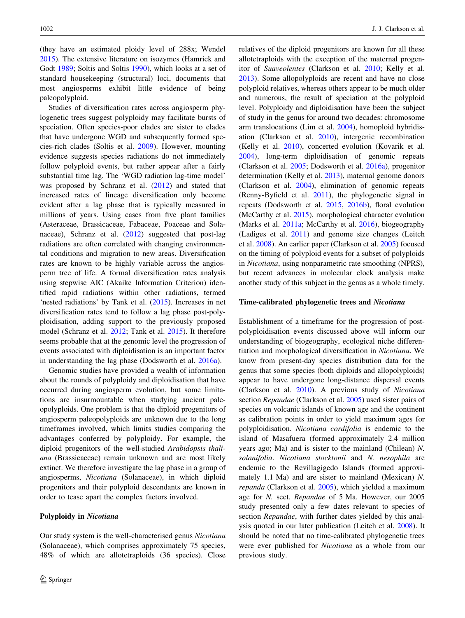(they have an estimated ploidy level of 288x; Wendel [2015\)](#page-11-0). The extensive literature on isozymes (Hamrick and Godt [1989;](#page-10-0) Soltis and Soltis [1990](#page-11-0)), which looks at a set of standard housekeeping (structural) loci, documents that most angiosperms exhibit little evidence of being paleopolyploid.

Studies of diversification rates across angiosperm phylogenetic trees suggest polyploidy may facilitate bursts of speciation. Often species-poor clades are sister to clades that have undergone WGD and subsequently formed species-rich clades (Soltis et al. [2009\)](#page-11-0). However, mounting evidence suggests species radiations do not immediately follow polyploid events, but rather appear after a fairly substantial time lag. The 'WGD radiation lag-time model' was proposed by Schranz et al. [\(2012](#page-11-0)) and stated that increased rates of lineage diversification only become evident after a lag phase that is typically measured in millions of years. Using cases from five plant families (Asteraceae, Brassicaceae, Fabaceae, Poaceae and Solanaceae), Schranz et al. ([2012\)](#page-11-0) suggested that post-lag radiations are often correlated with changing environmental conditions and migration to new areas. Diversification rates are known to be highly variable across the angiosperm tree of life. A formal diversification rates analysis using stepwise AIC (Akaike Information Criterion) identified rapid radiations within other radiations, termed 'nested radiations' by Tank et al. [\(2015](#page-11-0)). Increases in net diversification rates tend to follow a lag phase post-polyploidisation, adding support to the previously proposed model (Schranz et al. [2012](#page-11-0); Tank et al. [2015\)](#page-11-0). It therefore seems probable that at the genomic level the progression of events associated with diploidisation is an important factor in understanding the lag phase (Dodsworth et al. [2016a](#page-10-0)).

Genomic studies have provided a wealth of information about the rounds of polyploidy and diploidisation that have occurred during angiosperm evolution, but some limitations are insurmountable when studying ancient paleopolyploids. One problem is that the diploid progenitors of angiosperm paleopolyploids are unknown due to the long timeframes involved, which limits studies comparing the advantages conferred by polyploidy. For example, the diploid progenitors of the well-studied Arabidopsis thaliana (Brassicaceae) remain unknown and are most likely extinct. We therefore investigate the lag phase in a group of angiosperms, Nicotiana (Solanaceae), in which diploid progenitors and their polyploid descendants are known in order to tease apart the complex factors involved.

#### Polyploidy in Nicotiana

Our study system is the well-characterised genus Nicotiana (Solanaceae), which comprises approximately 75 species, 48% of which are allotetraploids (36 species). Close relatives of the diploid progenitors are known for all these allotetraploids with the exception of the maternal progenitor of Suaveolentes (Clarkson et al. [2010](#page-10-0); Kelly et al. [2013](#page-10-0)). Some allopolyploids are recent and have no close polyploid relatives, whereas others appear to be much older and numerous, the result of speciation at the polyploid level. Polyploidy and diploidisation have been the subject of study in the genus for around two decades: chromosome arm translocations (Lim et al. [2004\)](#page-10-0), homoploid hybridisation (Clarkson et al. [2010\)](#page-10-0), intergenic recombination (Kelly et al. [2010\)](#page-10-0), concerted evolution (Kovarik et al. [2004](#page-10-0)), long-term diploidisation of genomic repeats (Clarkson et al. [2005](#page-10-0); Dodsworth et al. [2016a\)](#page-10-0), progenitor determination (Kelly et al. [2013\)](#page-10-0), maternal genome donors (Clarkson et al. [2004](#page-10-0)), elimination of genomic repeats (Renny-Byfield et al. [2011](#page-11-0)), the phylogenetic signal in repeats (Dodsworth et al. [2015,](#page-10-0) [2016b](#page-10-0)), floral evolution (McCarthy et al. [2015](#page-11-0)), morphological character evolution (Marks et al. [2011a](#page-11-0); McCarthy et al. [2016](#page-11-0)), biogeography (Ladiges et al. [2011](#page-10-0)) and genome size changes (Leitch et al. [2008](#page-10-0)). An earlier paper (Clarkson et al. [2005](#page-10-0)) focused on the timing of polyploid events for a subset of polyploids in Nicotiana, using nonparametric rate smoothing (NPRS), but recent advances in molecular clock analysis make another study of this subject in the genus as a whole timely.

## Time-calibrated phylogenetic trees and Nicotiana

Establishment of a timeframe for the progression of postpolyploidisation events discussed above will inform our understanding of biogeography, ecological niche differentiation and morphological diversification in Nicotiana. We know from present-day species distribution data for the genus that some species (both diploids and allopolyploids) appear to have undergone long-distance dispersal events (Clarkson et al. [2010](#page-10-0)). A previous study of Nicotiana section Repandae (Clarkson et al. [2005\)](#page-10-0) used sister pairs of species on volcanic islands of known age and the continent as calibration points in order to yield maximum ages for polyploidisation. Nicotiana cordifolia is endemic to the island of Masafuera (formed approximately 2.4 million years ago; Ma) and is sister to the mainland (Chilean) N. solanifolia. Nicotiana stocktonii and N. nesophila are endemic to the Revillagigedo Islands (formed approximately 1.1 Ma) and are sister to mainland (Mexican) N. repanda (Clarkson et al. [2005\)](#page-10-0), which yielded a maximum age for N. sect. Repandae of 5 Ma. However, our 2005 study presented only a few dates relevant to species of section Repandae, with further dates yielded by this analysis quoted in our later publication (Leitch et al. [2008\)](#page-10-0). It should be noted that no time-calibrated phylogenetic trees were ever published for Nicotiana as a whole from our previous study.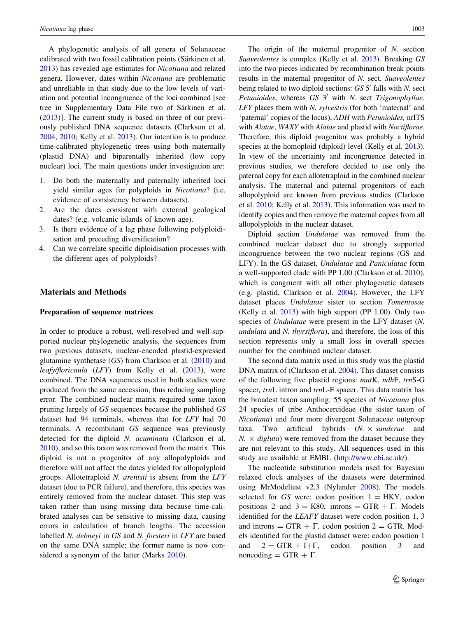A phylogenetic analysis of all genera of Solanaceae calibrated with two fossil calibration points (Särkinen et al. [2013\)](#page-11-0) has revealed age estimates for Nicotiana and related genera. However, dates within Nicotiana are problematic and unreliable in that study due to the low levels of variation and potential incongruence of the loci combined [see tree in Supplementary Data File two of Särkinen et al. [\(2013](#page-11-0))]. The current study is based on three of our previously published DNA sequence datasets (Clarkson et al. [2004,](#page-10-0) [2010](#page-10-0); Kelly et al. [2013](#page-10-0)). Our intention is to produce time-calibrated phylogenetic trees using both maternally (plastid DNA) and biparentally inherited (low copy nuclear) loci. The main questions under investigation are:

- 1. Do both the maternally and paternally inherited loci yield similar ages for polyploids in Nicotiana? (i.e. evidence of consistency between datasets).
- 2. Are the dates consistent with external geological dates? (e.g. volcanic islands of known age).
- 3. Is there evidence of a lag phase following polyploidisation and preceding diversification?
- 4. Can we correlate specific diploidisation processes with the different ages of polyploids?

# Materials and Methods

## Preparation of sequence matrices

In order to produce a robust, well-resolved and well-supported nuclear phylogenetic analysis, the sequences from two previous datasets, nuclear-encoded plastid-expressed glutamine synthetase  $(GS)$  from Clarkson et al.  $(2010)$  $(2010)$  and leafy/floricaula (LFY) from Kelly et al. [\(2013](#page-10-0)), were combined. The DNA sequences used in both studies were produced from the same accession, thus reducing sampling error. The combined nuclear matrix required some taxon pruning largely of GS sequences because the published GS dataset had 94 terminals, whereas that for LFY had 70 terminals. A recombinant GS sequence was previously detected for the diploid N. acuminata (Clarkson et al. [2010\)](#page-10-0), and so this taxon was removed from the matrix. This diploid is not a progenitor of any allopolyploids and therefore will not affect the dates yielded for allopolyploid groups. Allotetraploid N. arentsii is absent from the LFY dataset (due to PCR failure), and therefore, this species was entirely removed from the nuclear dataset. This step was taken rather than using missing data because time-calibrated analyses can be sensitive to missing data, causing errors in calculation of branch lengths. The accession labelled N. debneyi in GS and N. forsteri in LFY are based on the same DNA sample; the former name is now considered a synonym of the latter (Marks [2010](#page-10-0)).

The origin of the maternal progenitor of N. section Suaveolentes is complex (Kelly et al. [2013\)](#page-10-0). Breaking GS into the two pieces indicated by recombination break points results in the maternal progenitor of N. sect. Suaveolentes being related to two diploid sections:  $GS\,5'$  falls with N. sect Petunioides, whereas  $GS$  3' with N. sect Trigonophyllae. LFY places them with N. sylvestris (for both 'maternal' and 'paternal' copies of the locus), ADH with Petunioides, nrITS with Alatae, WAXY with Alatae and plastid with Noctiflorae. Therefore, this diploid progenitor was probably a hybrid species at the homoploid (diploid) level (Kelly et al. [2013\)](#page-10-0). In view of the uncertainty and incongruence detected in previous studies, we therefore decided to use only the paternal copy for each allotetraploid in the combined nuclear analysis. The maternal and paternal progenitors of each allopolyploid are known from previous studies (Clarkson et al. [2010;](#page-10-0) Kelly et al. [2013\)](#page-10-0). This information was used to identify copies and then remove the maternal copies from all allopolyploids in the nuclear dataset.

Diploid section Undulatae was removed from the combined nuclear dataset due to strongly supported incongruence between the two nuclear regions (GS and LFY). In the GS dataset, Undulatae and Paniculatae form a well-supported clade with PP 1.00 (Clarkson et al. [2010](#page-10-0)), which is congruent with all other phylogenetic datasets (e.g. plastid, Clarkson et al. [2004](#page-10-0)). However, the LFY dataset places Undulatae sister to section Tomentosae (Kelly et al. [2013\)](#page-10-0) with high support (PP 1.00). Only two species of Undulatae were present in the LFY dataset (N. undulata and N. thyrsiflora), and therefore, the loss of this section represents only a small loss in overall species number for the combined nuclear dataset.

The second data matrix used in this study was the plastid DNA matrix of (Clarkson et al. [2004\)](#page-10-0). This dataset consists of the following five plastid regions: matK, ndhF, trnS-G spacer, trnL intron and trnL-F spacer. This data matrix has the broadest taxon sampling: 55 species of Nicotiana plus 24 species of tribe Anthocercideae (the sister taxon of Nicotiana) and four more divergent Solanaceae outgroup taxa. Two artificial hybrids  $(N. \times \text{ sanderae}$  and  $N. \times$  *digluta*) were removed from the dataset because they are not relevant to this study. All sequences used in this study are available at EMBL [\(http://www.ebi.ac.uk/](http://www.ebi.ac.uk/)).

The nucleotide substitution models used for Bayesian relaxed clock analyses of the datasets were determined using MrModeltest v2.3 (Nylander [2008\)](#page-11-0). The models selected for GS were: codon position  $1 = HKY$ , codon positions 2 and  $3 = K80$ , introns = GTR +  $\Gamma$ . Models identified for the LEAFY dataset were codon position 1, 3 and introns = GTR +  $\Gamma$ , codon position 2 = GTR. Models identified for the plastid dataset were: codon position 1 and  $2 = GTR + I + \Gamma$ , codon position 3 and noncoding  $=$  GTR  $+$   $\Gamma$ .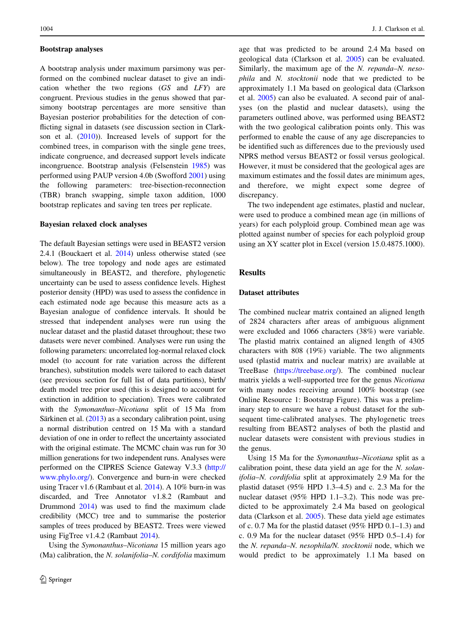#### Bootstrap analyses

A bootstrap analysis under maximum parsimony was performed on the combined nuclear dataset to give an indication whether the two regions (GS and LFY) are congruent. Previous studies in the genus showed that parsimony bootstrap percentages are more sensitive than Bayesian posterior probabilities for the detection of conflicting signal in datasets (see discussion section in Clarkson et al. [\(2010](#page-10-0))). Increased levels of support for the combined trees, in comparison with the single gene trees, indicate congruence, and decreased support levels indicate incongruence. Bootstrap analysis (Felsenstein [1985\)](#page-10-0) was performed using PAUP version 4.0b (Swofford [2001\)](#page-11-0) using the following parameters: tree-bisection-reconnection (TBR) branch swapping, simple taxon addition, 1000 bootstrap replicates and saving ten trees per replicate.

#### Bayesian relaxed clock analyses

The default Bayesian settings were used in BEAST2 version 2.4.1 (Bouckaert et al. [2014\)](#page-10-0) unless otherwise stated (see below). The tree topology and node ages are estimated simultaneously in BEAST2, and therefore, phylogenetic uncertainty can be used to assess confidence levels. Highest posterior density (HPD) was used to assess the confidence in each estimated node age because this measure acts as a Bayesian analogue of confidence intervals. It should be stressed that independent analyses were run using the nuclear dataset and the plastid dataset throughout; these two datasets were never combined. Analyses were run using the following parameters: uncorrelated log-normal relaxed clock model (to account for rate variation across the different branches), substitution models were tailored to each dataset (see previous section for full list of data partitions), birth/ death model tree prior used (this is designed to account for extinction in addition to speciation). Trees were calibrated with the Symonanthus–Nicotiana split of 15 Ma from Särkinen et al.  $(2013)$  as a secondary calibration point, using a normal distribution centred on 15 Ma with a standard deviation of one in order to reflect the uncertainty associated with the original estimate. The MCMC chain was run for 30 million generations for two independent runs. Analyses were performed on the CIPRES Science Gateway V.3.3 ([http://](http://www.phylo.org/) [www.phylo.org/](http://www.phylo.org/)). Convergence and burn-in were checked using Tracer v1.6 (Rambaut et al. [2014](#page-11-0)). A 10% burn-in was discarded, and Tree Annotator v1.8.2 (Rambaut and Drummond [2014](#page-11-0)) was used to find the maximum clade credibility (MCC) tree and to summarise the posterior samples of trees produced by BEAST2. Trees were viewed using FigTree v1.4.2 (Rambaut [2014](#page-11-0)).

Using the Symonanthus–Nicotiana 15 million years ago (Ma) calibration, the N. solanifolia–N. cordifolia maximum age that was predicted to be around 2.4 Ma based on geological data (Clarkson et al. [2005](#page-10-0)) can be evaluated. Similarly, the maximum age of the N. repanda–N. nesophila and N. stocktonii node that we predicted to be approximately 1.1 Ma based on geological data (Clarkson et al. [2005](#page-10-0)) can also be evaluated. A second pair of analyses (on the plastid and nuclear datasets), using the parameters outlined above, was performed using BEAST2 with the two geological calibration points only. This was performed to enable the cause of any age discrepancies to be identified such as differences due to the previously used NPRS method versus BEAST2 or fossil versus geological. However, it must be considered that the geological ages are maximum estimates and the fossil dates are minimum ages, and therefore, we might expect some degree of discrepancy.

The two independent age estimates, plastid and nuclear, were used to produce a combined mean age (in millions of years) for each polyploid group. Combined mean age was plotted against number of species for each polyploid group using an XY scatter plot in Excel (version 15.0.4875.1000).

# Results

# Dataset attributes

The combined nuclear matrix contained an aligned length of 2824 characters after areas of ambiguous alignment were excluded and 1066 characters (38%) were variable. The plastid matrix contained an aligned length of 4305 characters with 808 (19%) variable. The two alignments used (plastid matrix and nuclear matrix) are available at TreeBase [\(https://treebase.org/](https://treebase.org/)). The combined nuclear matrix yields a well-supported tree for the genus Nicotiana with many nodes receiving around 100% bootstrap (see Online Resource 1: Bootstrap Figure). This was a preliminary step to ensure we have a robust dataset for the subsequent time-calibrated analyses. The phylogenetic trees resulting from BEAST2 analyses of both the plastid and nuclear datasets were consistent with previous studies in the genus.

Using 15 Ma for the Symonanthus–Nicotiana split as a calibration point, these data yield an age for the N. solanifolia–N. cordifolia split at approximately 2.9 Ma for the plastid dataset (95% HPD 1.3–4.5) and c. 2.3 Ma for the nuclear dataset (95% HPD 1.1–3.2). This node was predicted to be approximately 2.4 Ma based on geological data (Clarkson et al. [2005](#page-10-0)). These data yield age estimates of c. 0.7 Ma for the plastid dataset (95% HPD 0.1–1.3) and c. 0.9 Ma for the nuclear dataset (95% HPD 0.5–1.4) for the N. repanda–N. nesophila/N. stocktonii node, which we would predict to be approximately 1.1 Ma based on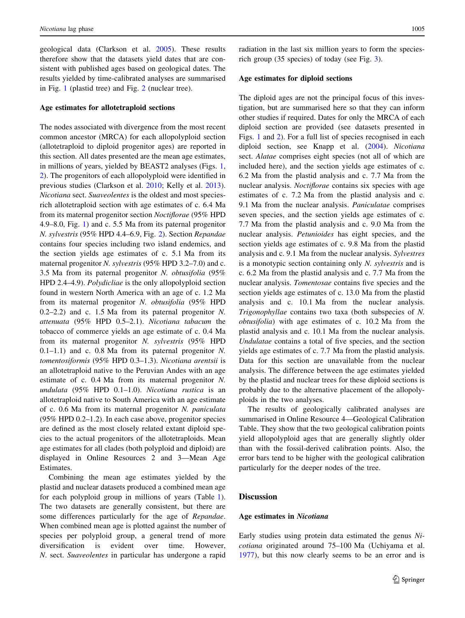geological data (Clarkson et al. [2005\)](#page-10-0). These results therefore show that the datasets yield dates that are consistent with published ages based on geological dates. The results yielded by time-calibrated analyses are summarised in Fig. [1](#page-5-0) (plastid tree) and Fig. [2](#page-6-0) (nuclear tree).

## Age estimates for allotetraploid sections

The nodes associated with divergence from the most recent common ancestor (MRCA) for each allopolyploid section (allotetraploid to diploid progenitor ages) are reported in this section. All dates presented are the mean age estimates, in millions of years, yielded by BEAST2 analyses (Figs. [1,](#page-5-0) [2](#page-6-0)). The progenitors of each allopolyploid were identified in previous studies (Clarkson et al. [2010](#page-10-0); Kelly et al. [2013](#page-10-0)). Nicotiana sect. Suaveolentes is the oldest and most speciesrich allotetraploid section with age estimates of c. 6.4 Ma from its maternal progenitor section Noctiflorae (95% HPD 4.9–8.0, Fig. [1\)](#page-5-0) and c. 5.5 Ma from its paternal progenitor N. sylvestris (95% HPD 4.4–6.9, Fig. [2](#page-6-0)). Section Repandae contains four species including two island endemics, and the section yields age estimates of c. 5.1 Ma from its maternal progenitor N. sylvestris (95% HPD 3.2–7.0) and c. 3.5 Ma from its paternal progenitor N. obtusifolia (95% HPD 2.4–4.9). Polydicliae is the only allopolyploid section found in western North America with an age of c. 1.2 Ma from its maternal progenitor N. obtusifolia (95% HPD 0.2–2.2) and c. 1.5 Ma from its paternal progenitor N. attenuata (95% HPD 0.5–2.1). Nicotiana tabacum the tobacco of commerce yields an age estimate of c. 0.4 Ma from its maternal progenitor N. sylvestris (95% HPD  $0.1-1.1$ ) and c. 0.8 Ma from its paternal progenitor N. tomentosiformis (95% HPD 0.3–1.3). Nicotiana arentsii is an allotetraploid native to the Peruvian Andes with an age estimate of c. 0.4 Ma from its maternal progenitor N. undulata (95% HPD 0.1–1.0). Nicotiana rustica is an allotetraploid native to South America with an age estimate of c. 0.6 Ma from its maternal progenitor N. paniculata (95% HPD 0.2–1.2). In each case above, progenitor species are defined as the most closely related extant diploid species to the actual progenitors of the allotetraploids. Mean age estimates for all clades (both polyploid and diploid) are displayed in Online Resources 2 and 3—Mean Age Estimates.

Combining the mean age estimates yielded by the plastid and nuclear datasets produced a combined mean age for each polyploid group in millions of years (Table [1](#page-6-0)). The two datasets are generally consistent, but there are some differences particularly for the age of Repandae. When combined mean age is plotted against the number of species per polyploid group, a general trend of more diversification is evident over time. However, N. sect. Suaveolentes in particular has undergone a rapid radiation in the last six million years to form the speciesrich group (35 species) of today (see Fig. [3\)](#page-7-0).

# Age estimates for diploid sections

The diploid ages are not the principal focus of this investigation, but are summarised here so that they can inform other studies if required. Dates for only the MRCA of each diploid section are provided (see datasets presented in Figs. [1](#page-5-0) and [2\)](#page-6-0). For a full list of species recognised in each diploid section, see Knapp et al. [\(2004](#page-10-0)). Nicotiana sect. Alatae comprises eight species (not all of which are included here), and the section yields age estimates of c. 6.2 Ma from the plastid analysis and c. 7.7 Ma from the nuclear analysis. Noctiflorae contains six species with age estimates of c. 7.2 Ma from the plastid analysis and c. 9.1 Ma from the nuclear analysis. Paniculatae comprises seven species, and the section yields age estimates of c. 7.7 Ma from the plastid analysis and c. 9.0 Ma from the nuclear analysis. Petunioides has eight species, and the section yields age estimates of c. 9.8 Ma from the plastid analysis and c. 9.1 Ma from the nuclear analysis. Sylvestres is a monotypic section containing only N. sylvestris and is c. 6.2 Ma from the plastid analysis and c. 7.7 Ma from the nuclear analysis. Tomentosae contains five species and the section yields age estimates of c. 13.0 Ma from the plastid analysis and c. 10.1 Ma from the nuclear analysis. Trigonophyllae contains two taxa (both subspecies of N. obtusifolia) with age estimates of c. 10.2 Ma from the plastid analysis and c. 10.1 Ma from the nuclear analysis. Undulatae contains a total of five species, and the section yields age estimates of c. 7.7 Ma from the plastid analysis. Data for this section are unavailable from the nuclear analysis. The difference between the age estimates yielded by the plastid and nuclear trees for these diploid sections is probably due to the alternative placement of the allopolyploids in the two analyses.

The results of geologically calibrated analyses are summarised in Online Resource 4—Geological Calibration Table. They show that the two geological calibration points yield allopolyploid ages that are generally slightly older than with the fossil-derived calibration points. Also, the error bars tend to be higher with the geological calibration particularly for the deeper nodes of the tree.

# **Discussion**

#### Age estimates in Nicotiana

Early studies using protein data estimated the genus Nicotiana originated around 75–100 Ma (Uchiyama et al. [1977](#page-11-0)), but this now clearly seems to be an error and is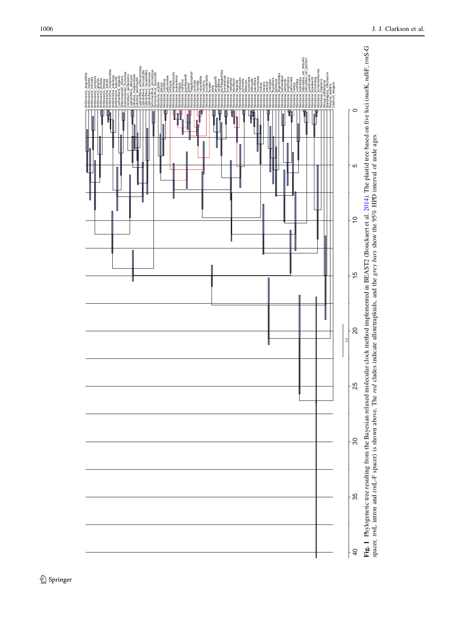<span id="page-5-0"></span>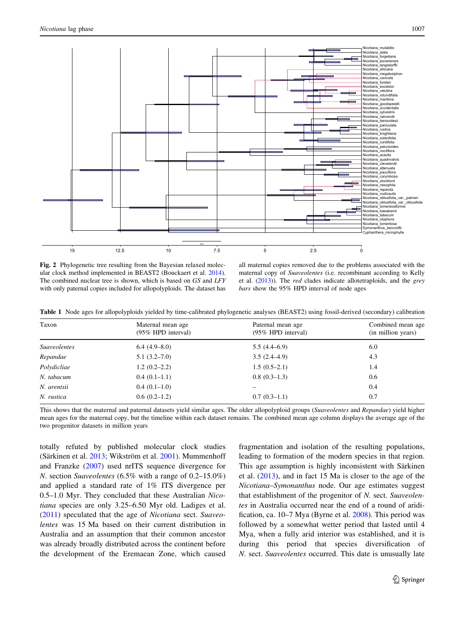<span id="page-6-0"></span>

Fig. 2 Phylogenetic tree resulting from the Bayesian relaxed molecular clock method implemented in BEAST2 (Bouckaert et al. [2014](#page-10-0)). The combined nuclear tree is shown, which is based on GS and LFY with only paternal copies included for allopolyploids. The dataset has

all maternal copies removed due to the problems associated with the maternal copy of Suaveolentes (i.e. recombinant according to Kelly et al. [\(2013](#page-10-0))). The red clades indicate allotetraploids, and the grey bars show the 95% HPD interval of node ages

Table 1 Node ages for allopolyploids yielded by time-calibrated phylogenetic analyses (BEAST2) using fossil-derived (secondary) calibration

| Taxon               | Maternal mean age<br>$(95\%$ HPD interval) | Paternal mean age<br>$(95\%$ HPD interval) | Combined mean age<br>(in million years) |
|---------------------|--------------------------------------------|--------------------------------------------|-----------------------------------------|
| <b>Suaveolentes</b> | $6.4(4.9-8.0)$                             | 5.5(4.4–6.9)                               | 6.0                                     |
| Repandae            | $5.1(3.2 - 7.0)$                           | $3.5(2.4-4.9)$                             | 4.3                                     |
| Polydicliae         | $1.2(0.2-2.2)$                             | $1.5(0.5-2.1)$                             | 1.4                                     |
| N. tabacum          | $0.4(0.1-1.1)$                             | $0.8(0.3-1.3)$                             | 0.6                                     |
| N. arentsii         | $0.4(0.1-1.0)$                             |                                            | 0.4                                     |
| N. rustica          | $0.6(0.2-1.2)$                             | $0.7(0.3-1.1)$                             | 0.7                                     |

This shows that the maternal and paternal datasets yield similar ages. The older allopolyploid groups (Suaveolentes and Repandae) yield higher mean ages for the maternal copy, but the timeline within each dataset remains. The combined mean age column displays the average age of the two progenitor datasets in million years

totally refuted by published molecular clock studies (Särkinen et al. [2013;](#page-11-0) Wikström et al. [2001](#page-11-0)). Mummenhoff and Franzke ([2007\)](#page-11-0) used nrITS sequence divergence for N. section Suaveolentes (6.5% with a range of 0.2–15.0%) and applied a standard rate of 1% ITS divergence per 0.5–1.0 Myr. They concluded that these Australian Nicotiana species are only 3.25–6.50 Myr old. Ladiges et al. [\(2011](#page-10-0)) speculated that the age of Nicotiana sect. Suaveolentes was 15 Ma based on their current distribution in Australia and an assumption that their common ancestor was already broadly distributed across the continent before the development of the Eremaean Zone, which caused fragmentation and isolation of the resulting populations, leading to formation of the modern species in that region. This age assumption is highly inconsistent with Särkinen et al. [\(2013](#page-11-0)), and in fact 15 Ma is closer to the age of the Nicotiana–Symonanthus node. Our age estimates suggest that establishment of the progenitor of N. sect. Suaveolentes in Australia occurred near the end of a round of aridification, ca. 10–7 Mya (Byrne et al. [2008\)](#page-10-0). This period was followed by a somewhat wetter period that lasted until 4 Mya, when a fully arid interior was established, and it is during this period that species diversification of N. sect. Suaveolentes occurred. This date is unusually late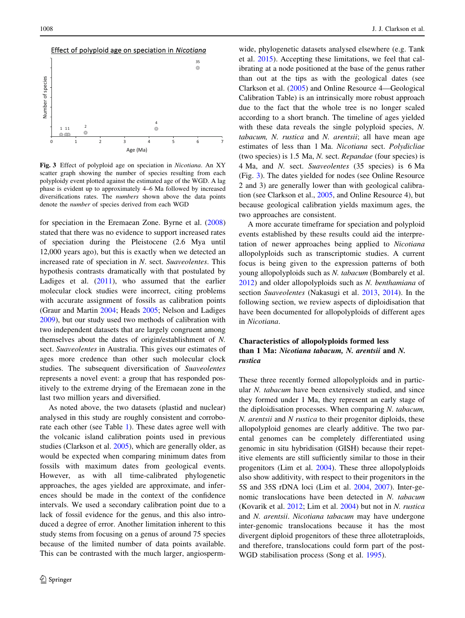<span id="page-7-0"></span>

Fig. 3 Effect of polyploid age on speciation in Nicotiana. An XY scatter graph showing the number of species resulting from each polyploidy event plotted against the estimated age of the WGD. A lag phase is evident up to approximately 4–6 Ma followed by increased diversifications rates. The numbers shown above the data points denote the number of species derived from each WGD

for speciation in the Eremaean Zone. Byrne et al. ([2008\)](#page-10-0) stated that there was no evidence to support increased rates of speciation during the Pleistocene (2.6 Mya until 12,000 years ago), but this is exactly when we detected an increased rate of speciation in N. sect. Suaveolentes. This hypothesis contrasts dramatically with that postulated by Ladiges et al. ([2011\)](#page-10-0), who assumed that the earlier molecular clock studies were incorrect, citing problems with accurate assignment of fossils as calibration points (Graur and Martin [2004;](#page-10-0) Heads [2005;](#page-10-0) Nelson and Ladiges [2009\)](#page-11-0), but our study used two methods of calibration with two independent datasets that are largely congruent among themselves about the dates of origin/establishment of N. sect. Suaveolentes in Australia. This gives our estimates of ages more credence than other such molecular clock studies. The subsequent diversification of Suaveolentes represents a novel event: a group that has responded positively to the extreme drying of the Eremaean zone in the last two million years and diversified.

As noted above, the two datasets (plastid and nuclear) analysed in this study are roughly consistent and corroborate each other (see Table [1\)](#page-6-0). These dates agree well with the volcanic island calibration points used in previous studies (Clarkson et al. [2005](#page-10-0)), which are generally older, as would be expected when comparing minimum dates from fossils with maximum dates from geological events. However, as with all time-calibrated phylogenetic approaches, the ages yielded are approximate, and inferences should be made in the context of the confidence intervals. We used a secondary calibration point due to a lack of fossil evidence for the genus, and this also introduced a degree of error. Another limitation inherent to this study stems from focusing on a genus of around 75 species because of the limited number of data points available. This can be contrasted with the much larger, angiosperm-

wide, phylogenetic datasets analysed elsewhere (e.g. Tank et al. [2015](#page-11-0)). Accepting these limitations, we feel that calibrating at a node positioned at the base of the genus rather than out at the tips as with the geological dates (see Clarkson et al. [\(2005](#page-10-0)) and Online Resource 4—Geological Calibration Table) is an intrinsically more robust approach due to the fact that the whole tree is no longer scaled according to a short branch. The timeline of ages yielded with these data reveals the single polyploid species, N. tabacum, N. rustica and N. arentsii; all have mean age estimates of less than 1 Ma. Nicotiana sect. Polydicliae (two species) is 1.5 Ma, N. sect. Repandae (four species) is 4 Ma, and N. sect. Suaveolentes (35 species) is 6 Ma (Fig. 3). The dates yielded for nodes (see Online Resource 2 and 3) are generally lower than with geological calibration (see Clarkson et al., [2005](#page-10-0), and Online Resource 4), but because geological calibration yields maximum ages, the two approaches are consistent.

A more accurate timeframe for speciation and polyploid events established by these results could aid the interpretation of newer approaches being applied to Nicotiana allopolyploids such as transcriptomic studies. A current focus is being given to the expression patterns of both young allopolyploids such as N. tabacum (Bombarely et al. [2012](#page-10-0)) and older allopolyploids such as N. benthamiana of section Suaveolentes (Nakasugi et al. [2013,](#page-11-0) [2014](#page-11-0)). In the following section, we review aspects of diploidisation that have been documented for allopolyploids of different ages in Nicotiana.

# Characteristics of allopolyploids formed less than 1 Ma: Nicotiana tabacum, N. arentsii and N. rustica

These three recently formed allopolyploids and in particular N. tabacum have been extensively studied, and since they formed under 1 Ma, they represent an early stage of the diploidisation processes. When comparing N. tabacum, N. arentsii and N rustica to their progenitor diploids, these allopolyploid genomes are clearly additive. The two parental genomes can be completely differentiated using genomic in situ hybridisation (GISH) because their repetitive elements are still sufficiently similar to those in their progenitors (Lim et al. [2004\)](#page-10-0). These three allopolyploids also show additivity, with respect to their progenitors in the 5S and 35S rDNA loci (Lim et al. [2004](#page-10-0), [2007\)](#page-10-0). Inter-genomic translocations have been detected in N. tabacum (Kovarik et al. [2012;](#page-10-0) Lim et al. [2004](#page-10-0)) but not in N. rustica and N. arentsii. Nicotiana tabacum may have undergone inter-genomic translocations because it has the most divergent diploid progenitors of these three allotetraploids, and therefore, translocations could form part of the post-WGD stabilisation process (Song et al. [1995](#page-11-0)).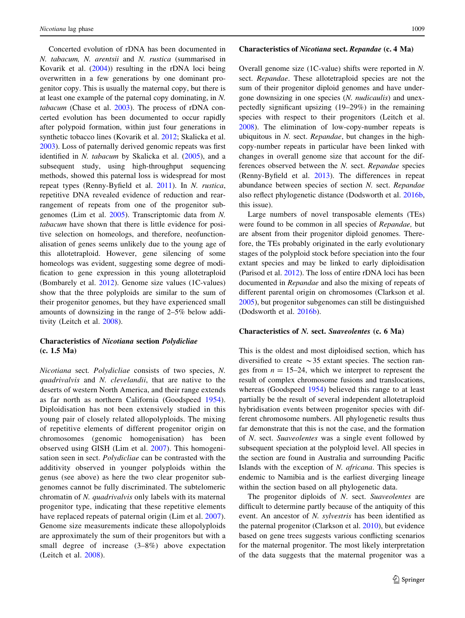Concerted evolution of rDNA has been documented in N. tabacum, N. arentsii and N. rustica (summarised in Kovarik et al. ([2004\)](#page-10-0)) resulting in the rDNA loci being overwritten in a few generations by one dominant progenitor copy. This is usually the maternal copy, but there is at least one example of the paternal copy dominating, in N. tabacum (Chase et al. [2003\)](#page-10-0). The process of rDNA concerted evolution has been documented to occur rapidly after polypoid formation, within just four generations in synthetic tobacco lines (Kovarik et al. [2012;](#page-10-0) Skalicka et al. [2003\)](#page-11-0). Loss of paternally derived genomic repeats was first identified in N. tabacum by Skalicka et al. ([2005\)](#page-11-0), and a subsequent study, using high-throughput sequencing methods, showed this paternal loss is widespread for most repeat types (Renny-Byfield et al. [2011\)](#page-11-0). In N. rustica, repetitive DNA revealed evidence of reduction and rearrangement of repeats from one of the progenitor subgenomes (Lim et al. [2005](#page-10-0)). Transcriptomic data from N. tabacum have shown that there is little evidence for positive selection on homeologs, and therefore, neofunctionalisation of genes seems unlikely due to the young age of this allotetraploid. However, gene silencing of some homeologs was evident, suggesting some degree of modification to gene expression in this young allotetraploid (Bombarely et al. [2012\)](#page-10-0). Genome size values (1C-values) show that the three polyploids are similar to the sum of their progenitor genomes, but they have experienced small amounts of downsizing in the range of 2–5% below additivity (Leitch et al. [2008\)](#page-10-0).

# Characteristics of Nicotiana section Polydicliae (c. 1.5 Ma)

Nicotiana sect. Polydicliae consists of two species, N. quadrivalvis and N. clevelandii, that are native to the deserts of western North America, and their range extends as far north as northern California (Goodspeed [1954](#page-10-0)). Diploidisation has not been extensively studied in this young pair of closely related allopolyploids. The mixing of repetitive elements of different progenitor origin on chromosomes (genomic homogenisation) has been observed using GISH (Lim et al. [2007\)](#page-10-0). This homogenisation seen in sect. Polydicliae can be contrasted with the additivity observed in younger polyploids within the genus (see above) as here the two clear progenitor subgenomes cannot be fully discriminated. The subtelomeric chromatin of N. quadrivalvis only labels with its maternal progenitor type, indicating that these repetitive elements have replaced repeats of paternal origin (Lim et al. [2007](#page-10-0)). Genome size measurements indicate these allopolyploids are approximately the sum of their progenitors but with a small degree of increase (3–8%) above expectation (Leitch et al. [2008\)](#page-10-0).

#### Characteristics of Nicotiana sect. Repandae (c. 4 Ma)

Overall genome size (1C-value) shifts were reported in N. sect. Repandae. These allotetraploid species are not the sum of their progenitor diploid genomes and have undergone downsizing in one species (N. nudicaulis) and unexpectedly significant upsizing (19–29%) in the remaining species with respect to their progenitors (Leitch et al. [2008](#page-10-0)). The elimination of low-copy-number repeats is ubiquitous in N. sect. Repandae, but changes in the highcopy-number repeats in particular have been linked with changes in overall genome size that account for the differences observed between the N. sect. Repandae species (Renny-Byfield et al. [2013\)](#page-11-0). The differences in repeat abundance between species of section N. sect. Repandae also reflect phylogenetic distance (Dodsworth et al. [2016b,](#page-10-0) this issue).

Large numbers of novel transposable elements (TEs) were found to be common in all species of Repandae, but are absent from their progenitor diploid genomes. Therefore, the TEs probably originated in the early evolutionary stages of the polyploid stock before speciation into the four extant species and may be linked to early diploidisation (Parisod et al. [2012\)](#page-11-0). The loss of entire rDNA loci has been documented in Repandae and also the mixing of repeats of different parental origin on chromosomes (Clarkson et al. [2005](#page-10-0)), but progenitor subgenomes can still be distinguished (Dodsworth et al. [2016b\)](#page-10-0).

# Characteristics of N. sect. Suaveolentes (c. 6 Ma)

This is the oldest and most diploidised section, which has diversified to create  $\sim$ 35 extant species. The section ranges from  $n = 15-24$ , which we interpret to represent the result of complex chromosome fusions and translocations, whereas (Goodspeed [1954\)](#page-10-0) believed this range to at least partially be the result of several independent allotetraploid hybridisation events between progenitor species with different chromosome numbers. All phylogenetic results thus far demonstrate that this is not the case, and the formation of N. sect. Suaveolentes was a single event followed by subsequent speciation at the polyploid level. All species in the section are found in Australia and surrounding Pacific Islands with the exception of N. africana. This species is endemic to Namibia and is the earliest diverging lineage within the section based on all phylogenetic data.

The progenitor diploids of N. sect. Suaveolentes are difficult to determine partly because of the antiquity of this event. An ancestor of N. sylvestris has been identified as the paternal progenitor (Clarkson et al. [2010\)](#page-10-0), but evidence based on gene trees suggests various conflicting scenarios for the maternal progenitor. The most likely interpretation of the data suggests that the maternal progenitor was a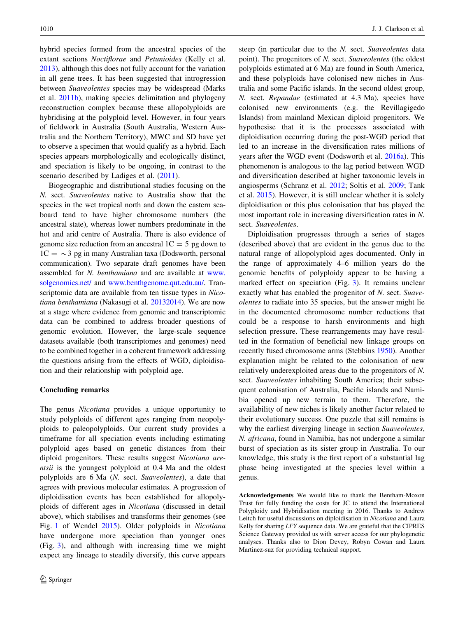hybrid species formed from the ancestral species of the extant sections Noctiflorae and Petunioides (Kelly et al. [2013\)](#page-10-0), although this does not fully account for the variation in all gene trees. It has been suggested that introgression between Suaveolentes species may be widespread (Marks et al. [2011b](#page-11-0)), making species delimitation and phylogeny reconstruction complex because these allopolyploids are hybridising at the polyploid level. However, in four years of fieldwork in Australia (South Australia, Western Australia and the Northern Territory), MWC and SD have yet to observe a specimen that would qualify as a hybrid. Each species appears morphologically and ecologically distinct, and speciation is likely to be ongoing, in contrast to the scenario described by Ladiges et al.  $(2011)$  $(2011)$ .

Biogeographic and distributional studies focusing on the N. sect. Suaveolentes native to Australia show that the species in the wet tropical north and down the eastern seaboard tend to have higher chromosome numbers (the ancestral state), whereas lower numbers predominate in the hot and arid centre of Australia. There is also evidence of genome size reduction from an ancestral  $1C = 5$  pg down to  $1C = \sim 3$  pg in many Australian taxa (Dodsworth, personal communication). Two separate draft genomes have been assembled for N. benthamiana and are available at [www.](http://www.solgenomics.net/) [solgenomics.net/](http://www.solgenomics.net/) and [www.benthgenome.qut.edu.au/](http://www.benthgenome.qut.edu.au/). Transcriptomic data are available from ten tissue types in Nicotiana benthamiana (Nakasugi et al. [20132014](#page-11-0)). We are now at a stage where evidence from genomic and transcriptomic data can be combined to address broader questions of genomic evolution. However, the large-scale sequence datasets available (both transcriptomes and genomes) need to be combined together in a coherent framework addressing the questions arising from the effects of WGD, diploidisation and their relationship with polyploid age.

# Concluding remarks

The genus Nicotiana provides a unique opportunity to study polyploids of different ages ranging from neopolyploids to paleopolyploids. Our current study provides a timeframe for all speciation events including estimating polyploid ages based on genetic distances from their diploid progenitors. These results suggest Nicotiana arentsii is the youngest polyploid at 0.4 Ma and the oldest polyploids are 6 Ma (N. sect. Suaveolentes), a date that agrees with previous molecular estimates. A progression of diploidisation events has been established for allopolyploids of different ages in Nicotiana (discussed in detail above), which stabilises and transforms their genomes (see Fig. [1](#page-5-0) of Wendel [2015](#page-11-0)). Older polyploids in Nicotiana have undergone more speciation than younger ones (Fig. [3](#page-7-0)), and although with increasing time we might expect any lineage to steadily diversify, this curve appears steep (in particular due to the N. sect. Suaveolentes data point). The progenitors of N. sect. Suaveolentes (the oldest polyploids estimated at 6 Ma) are found in South America, and these polyploids have colonised new niches in Australia and some Pacific islands. In the second oldest group, N. sect. Repandae (estimated at 4.3 Ma), species have colonised new environments (e.g. the Revillagigedo Islands) from mainland Mexican diploid progenitors. We hypothesise that it is the processes associated with diploidisation occurring during the post-WGD period that led to an increase in the diversification rates millions of years after the WGD event (Dodsworth et al. [2016a\)](#page-10-0). This phenomenon is analogous to the lag period between WGD and diversification described at higher taxonomic levels in angiosperms (Schranz et al. [2012](#page-11-0); Soltis et al. [2009;](#page-11-0) Tank et al. [2015\)](#page-11-0). However, it is still unclear whether it is solely diploidisation or this plus colonisation that has played the most important role in increasing diversification rates in N. sect. Suaveolentes.

Diploidisation progresses through a series of stages (described above) that are evident in the genus due to the natural range of allopolyploid ages documented. Only in the range of approximately 4–6 million years do the genomic benefits of polyploidy appear to be having a marked effect on speciation (Fig. [3](#page-7-0)). It remains unclear exactly what has enabled the progenitor of N. sect. Suaveolentes to radiate into 35 species, but the answer might lie in the documented chromosome number reductions that could be a response to harsh environments and high selection pressure. These rearrangements may have resulted in the formation of beneficial new linkage groups on recently fused chromosome arms (Stebbins [1950\)](#page-11-0). Another explanation might be related to the colonisation of new relatively underexploited areas due to the progenitors of N. sect. Suaveolentes inhabiting South America; their subsequent colonisation of Australia, Pacific islands and Namibia opened up new terrain to them. Therefore, the availability of new niches is likely another factor related to their evolutionary success. One puzzle that still remains is why the earliest diverging lineage in section Suaveolentes, N. africana, found in Namibia, has not undergone a similar burst of speciation as its sister group in Australia. To our knowledge, this study is the first report of a substantial lag phase being investigated at the species level within a genus.

Acknowledgements We would like to thank the Bentham-Moxon Trust for fully funding the costs for JC to attend the International Polyploidy and Hybridisation meeting in 2016. Thanks to Andrew Leitch for useful discussions on diploidisation in Nicotiana and Laura Kelly for sharing LFY sequence data. We are grateful that the CIPRES Science Gateway provided us with server access for our phylogenetic analyses. Thanks also to Dion Devey, Robyn Cowan and Laura Martinez-suz for providing technical support.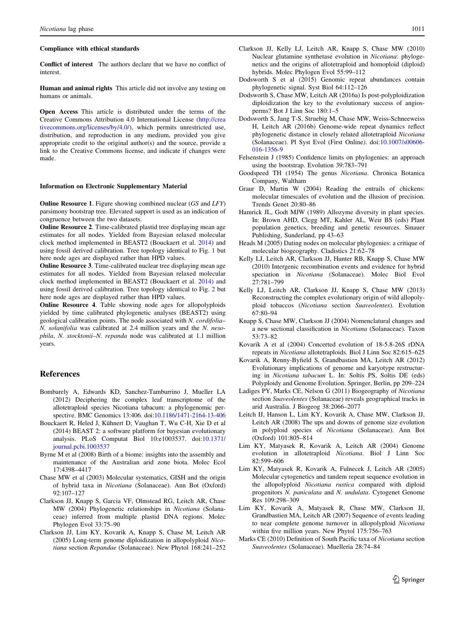#### <span id="page-10-0"></span>Compliance with ethical standards

Conflict of interest The authors declare that we have no conflict of interest.

Human and animal rights This article did not involve any testing on humans or animals.

Open Access This article is distributed under the terms of the Creative Commons Attribution 4.0 International License ([http://crea](http://creativecommons.org/licenses/by/4.0/) [tivecommons.org/licenses/by/4.0/\)](http://creativecommons.org/licenses/by/4.0/), which permits unrestricted use, distribution, and reproduction in any medium, provided you give appropriate credit to the original author(s) and the source, provide a link to the Creative Commons license, and indicate if changes were made.

#### Information on Electronic Supplementary Material

Online Resource 1. Figure showing combined nuclear (GS and LFY) parsimony bootstrap tree. Elevated support is used as an indication of congruence between the two datasets.

Online Resource 2. Time-calibrated plastid tree displaying mean age estimates for all nodes. Yielded from Bayesian relaxed molecular clock method implemented in BEAST2 (Bouckaert et al. 2014) and using fossil derived calibration. Tree topology identical to Fig. [1](#page-5-0) but here node ages are displayed rather than HPD values.

Online Resource 3. Time-calibrated nuclear tree displaying mean age estimates for all nodes. Yielded from Bayesian relaxed molecular clock method implemented in BEAST2 (Bouckaert et al. 2014) and using fossil derived calibration. Tree topology identical to Fig. [2](#page-6-0) but here node ages are displayed rather than HPD values.

Online Resource 4. Table showing node ages for allopolyploids yielded by time calibrated phylogenetic analyses (BEAST2) using geological calibration points. The node associated with N. cordifolia– N. solanifolia was calibrated at 2.4 million years and the N. nesophila, N. stocktonii–N. repanda node was calibrated at 1.1 million years.

#### References

- Bombarely A, Edwards KD, Sanchez-Tamburrino J, Mueller LA (2012) Deciphering the complex leaf transcriptome of the allotetraploid species Nicotiana tabacum: a phylogenomic perspective. BMC Genomics 13:406. doi:[10.1186/1471-2164-13-406](http://dx.doi.org/10.1186/1471-2164-13-406)
- Bouckaert R, Heled J, Kühnert D, Vaughan T, Wu C-H, Xie D et al (2014) BEAST 2: a software platform for bayesian evolutionary analysis. PLoS Computat Biol 10:e1003537. doi[:10.1371/](http://dx.doi.org/10.1371/journal.pcbi.1003537) [journal.pcbi.1003537](http://dx.doi.org/10.1371/journal.pcbi.1003537)
- Byrne M et al (2008) Birth of a biome: insights into the assembly and maintenance of the Australian arid zone biota. Molec Ecol 17:4398–4417
- Chase MW et al (2003) Molecular systematics, GISH and the origin of hybrid taxa in Nicotiana (Solanaceae). Ann Bot (Oxford) 92:107–127
- Clarkson JJ, Knapp S, Garcia VF, Olmstead RG, Leitch AR, Chase MW (2004) Phylogenetic relationships in Nicotiana (Solanaceae) inferred from multiple plastid DNA regions. Molec Phylogen Evol 33:75–90
- Clarkson JJ, Lim KY, Kovarik A, Knapp S, Chase M, Leitch AR (2005) Long-term genome diploidization in allopolyploid Nicotiana section Repandae (Solanaceae). New Phytol 168:241–252
- Clarkson JJ, Kelly LJ, Leitch AR, Knapp S, Chase MW (2010) Nuclear glutamine synthetase evolution in Nicotiana: phylogenetics and the origins of allotetraploid and homoploid (diploid) hybrids. Molec Phylogen Evol 55:99–112
- Dodsworth S et al (2015) Genomic repeat abundances contain phylogenetic signal. Syst Biol 64:112–126
- Dodsworth S, Chase MW, Leitch AR (2016a) Is post-polyploidization diploidization the key to the evolutionary success of angiosperms? Bot J Linn Soc 180:1–5
- Dodsworth S, Jang T-S, Struebig M, Chase MW, Weiss-Schneeweiss H, Leitch AR (2016b) Genome-wide repeat dynamics reflect phylogenetic distance in closely related allotetraploid Nicotiana (Solanaceae). Pl Syst Evol (First Online). doi[:10.1007/s00606-](http://dx.doi.org/10.1007/s00606-016-1356-9) [016-1356-9](http://dx.doi.org/10.1007/s00606-016-1356-9)
- Felsenstein J (1985) Confidence limits on phylogenies: an approach using the bootstrap. Evolution 39:783–791
- Goodspeed TH (1954) The genus Nicotiana. Chronica Botanica Company, Waltham
- Graur D, Martin W (2004) Reading the entrails of chickens: molecular timescales of evolution and the illusion of precision. Trends Genet 20:80–86
- Hamrick JL, Godt MJW (1989) Allozyme diversity in plant species. In: Brown AHD, Clegg MT, Kahler AL, Weir BS (eds) Plant population genetics, breeding and genetic resources. Sinauer Publishing, Sunderland, pp 43–63
- Heads M (2005) Dating nodes on molecular phylogenies: a critique of molecular biogeography. Cladistics 21:62–78
- Kelly LJ, Leitch AR, Clarkson JJ, Hunter RB, Knapp S, Chase MW (2010) Intergenic recombination events and evidence for hybrid speciation in Nicotiana (Solanaceae). Molec Biol Evol 27:781–799
- Kelly LJ, Leitch AR, Clarkson JJ, Knapp S, Chase MW (2013) Reconstructing the complex evolutionary origin of wild allopolyploid tobaccos (Nicotiana section Suaveolentes). Evolution 67:80–94
- Knapp S, Chase MW, Clarkson JJ (2004) Nomenclatural changes and a new sectional classification in Nicotiana (Solanaceae). Taxon 53:73–82
- Kovarik A et al (2004) Concerted evolution of 18-5.8-26S rDNA repeats in Nicotiana allotetraploids. Biol J Linn Soc 82:615–625
- Kovarik A, Renny-Byfield S, Grandbastien MA, Leitch AR (2012) Evolutionary implications of genome and karyotype restructuring in Nicotiana tabacum L. In: Soltis PS, Soltis DE (eds) Polyploidy and Genome Evolution. Springer, Berlin, pp 209–224
- Ladiges PY, Marks CE, Nelson G (2011) Biogeography of Nicotiana section Suaveolentes (Solanaceae) reveals geographical tracks in arid Australia. J Biogeog 38:2066–2077
- Leitch IJ, Hanson L, Lim KY, Kovarik A, Chase MW, Clarkson JJ, Leitch AR (2008) The ups and downs of genome size evolution in polyploid species of Nicotiana (Solanaceae). Ann Bot (Oxford) 101:805–814
- Lim KY, Matyasek R, Kovarik A, Leitch AR (2004) Genome evolution in allotetraploid Nicotiana. Biol J Linn Soc 82:599–606
- Lim KY, Matyasek R, Kovarik A, Fulnecek J, Leitch AR (2005) Molecular cytogenetics and tandem repeat sequence evolution in the allopolyploid Nicotiana rustica compared with diploid progenitors N. paniculata and N. undulata. Cytogenet Genome Res 109:298–309
- Lim KY, Kovarik A, Matyasek R, Chase MW, Clarkson JJ, Grandbastien MA, Leitch AR (2007) Sequence of events leading to near complete genome turnover in allopolyploid Nicotiana within five million years. New Phytol 175:756–763
- Marks CE (2010) Definition of South Pacific taxa of Nicotiana section Suaveolentes (Solanaceae). Muelleria 28:74–84